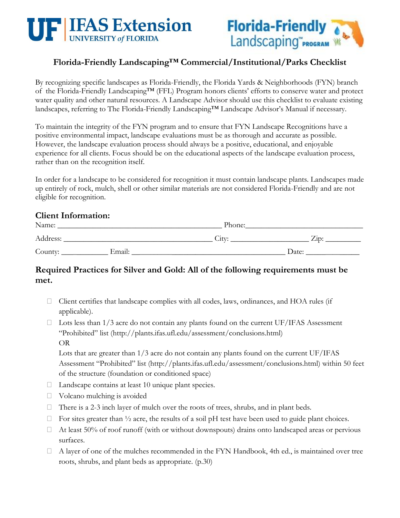



# **Florida-Friendly Landscaping™ Commercial/Institutional/Parks Checklist**

By recognizing specific landscapes as Florida-Friendly, the Florida Yards & Neighborhoods (FYN) branch of the Florida-Friendly Landscaping™ (FFL) Program honors clients' efforts to conserve water and protect water quality and other natural resources. A Landscape Advisor should use this checklist to evaluate existing landscapes, referring to The Florida-Friendly Landscaping™ Landscape Advisor's Manual if necessary.

To maintain the integrity of the FYN program and to ensure that FYN Landscape Recognitions have a positive environmental impact, landscape evaluations must be as thorough and accurate as possible. However, the landscape evaluation process should always be a positive, educational, and enjoyable experience for all clients. Focus should be on the educational aspects of the landscape evaluation process, rather than on the recognition itself.

In order for a landscape to be considered for recognition it must contain landscape plants. Landscapes made up entirely of rock, mulch, shell or other similar materials are not considered Florida-Friendly and are not eligible for recognition.

### **Client Information:**

| Name:    |        | Phone: |       |  |
|----------|--------|--------|-------|--|
| Address: |        | City:  | Zip:  |  |
| County:  | Email: |        | Date: |  |

# **Required Practices for Silver and Gold: All of the following requirements must be met.**

- Client certifies that landscape complies with all codes, laws, ordinances, and HOA rules (if applicable).
- $\Box$  Lots less than 1/3 acre do not contain any plants found on the current UF/IFAS Assessment "Prohibited" list (http://plants.ifas.ufl.edu/assessment/conclusions.html) OR

Lots that are greater than 1/3 acre do not contain any plants found on the current UF/IFAS Assessment "Prohibited" list (http://plants.ifas.ufl.edu/assessment/conclusions.html) within 50 feet of the structure (foundation or conditioned space)

- □ Landscape contains at least 10 unique plant species.
- Volcano mulching is avoided
- $\Box$  There is a 2-3 inch layer of mulch over the roots of trees, shrubs, and in plant beds.
- $\Box$  For sites greater than  $\frac{1}{2}$  acre, the results of a soil pH test have been used to guide plant choices.
- $\Box$  At least 50% of roof runoff (with or without downspouts) drains onto landscaped areas or pervious surfaces.
- A layer of one of the mulches recommended in the FYN Handbook, 4th ed., is maintained over tree roots, shrubs, and plant beds as appropriate. (p.30)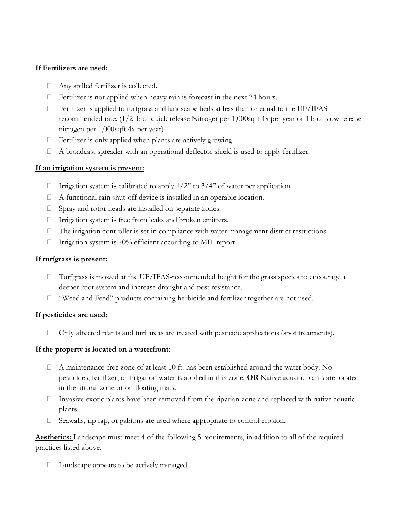#### **If Fertilizers are used:**

- Any spilled fertilizer is collected.
- $\Box$  Fertilizer is not applied when heavy rain is forecast in the next 24 hours.
- $\Box$  Fertilizer is applied to turfgrass and landscape beds at less than or equal to the UF/IFASrecommended rate. (1/2 lb of quick release Nitroger per 1,000sqft 4x per year or 1lb of slow release nitrogen per 1,000sqft 4x per year)
- $\Box$  Fertilizer is only applied when plants are actively growing.
- $\Box$  A broadcast spreader with an operational deflector shield is used to apply fertilizer.

#### **If an irrigation system is present:**

- $\Box$  Irrigation system is calibrated to apply 1/2" to 3/4" of water per application.
- $\Box$  A functional rain shut-off device is installed in an operable location.
- □ Spray and rotor heads are installed on separate zones.
- Irrigation system is free from leaks and broken emitters.
- $\Box$  The irrigation controller is set in compliance with water management district restrictions.
- $\Box$  Irrigation system is 70% efficient according to MIL report.

#### **If turfgrass is present:**

- $\Box$  Turfgrass is mowed at the UF/IFAS-recommended height for the grass species to encourage a deeper root system and increase drought and pest resistance.
- "Weed and Feed" products containing herbicide and fertilizer together are not used.

#### **If pesticides are used:**

 $\Box$  Only affected plants and turf areas are treated with pesticide applications (spot treatments).

#### **If the property is located on a waterfront:**

- $\Box$  A maintenance-free zone of at least 10 ft. has been established around the water body. No pesticides, fertilizer, or irrigation water is applied in this zone. **OR** Native aquatic plants are located in the littoral zone or on floating mats.
- $\Box$  Invasive exotic plants have been removed from the riparian zone and replaced with native aquatic plants.
- Seawalls, rip rap, or gabions are used where appropriate to control erosion.

**Aesthetics:** Landscape must meet 4 of the following 5 requirements, in addition to all of the required practices listed above.

 $\Box$  Landscape appears to be actively managed.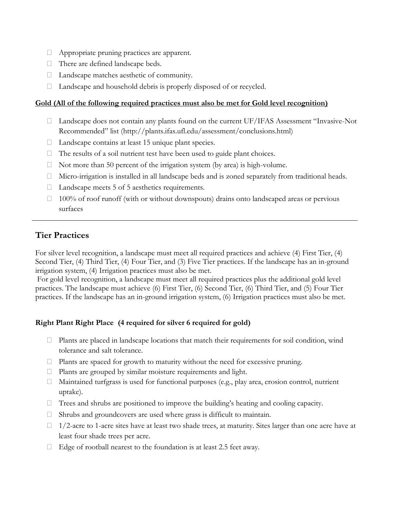- Appropriate pruning practices are apparent.
- $\Box$  There are defined landscape beds.
- □ Landscape matches aesthetic of community.
- $\Box$  Landscape and household debris is properly disposed of or recycled.

#### **Gold (All of the following required practices must also be met for Gold level recognition)**

- $\Box$  Landscape does not contain any plants found on the current UF/IFAS Assessment "Invasive-Not" Recommended" list (http://plants.ifas.ufl.edu/assessment/conclusions.html)
- $\Box$  Landscape contains at least 15 unique plant species.
- $\Box$  The results of a soil nutrient test have been used to guide plant choices.
- $\Box$  Not more than 50 percent of the irrigation system (by area) is high-volume.
- Micro-irrigation is installed in all landscape beds and is zoned separately from traditional heads.
- $\Box$  Landscape meets 5 of 5 aesthetics requirements.
- $\Box$  100% of roof runoff (with or without downspouts) drains onto landscaped areas or pervious surfaces

## **Tier Practices**

For silver level recognition, a landscape must meet all required practices and achieve (4) First Tier, (4) Second Tier, (4) Third Tier, (4) Four Tier, and (3) Five Tier practices. If the landscape has an in-ground irrigation system, (4) Irrigation practices must also be met.

For gold level recognition, a landscape must meet all required practices plus the additional gold level practices. The landscape must achieve (6) First Tier, (6) Second Tier, (6) Third Tier, and (5) Four Tier practices. If the landscape has an in-ground irrigation system, (6) Irrigation practices must also be met.

### **Right Plant Right Place (4 required for silver 6 required for gold)**

- $\Box$  Plants are placed in landscape locations that match their requirements for soil condition, wind tolerance and salt tolerance.
- $\Box$  Plants are spaced for growth to maturity without the need for excessive pruning.
- $\Box$  Plants are grouped by similar moisture requirements and light.
- Maintained turfgrass is used for functional purposes (e.g., play area, erosion control, nutrient uptake).
- $\Box$  Trees and shrubs are positioned to improve the building's heating and cooling capacity.
- $\Box$  Shrubs and groundcovers are used where grass is difficult to maintain.
- $\Box$  1/2-acre to 1-acre sites have at least two shade trees, at maturity. Sites larger than one acre have at least four shade trees per acre.
- $\Box$  Edge of rootball nearest to the foundation is at least 2.5 feet away.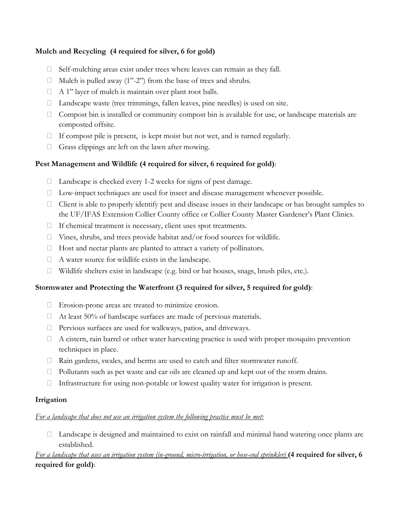### **Mulch and Recycling (4 required for silver, 6 for gold)**

- Self-mulching areas exist under trees where leaves can remain as they fall.
- $\Box$  Mulch is pulled away (1"-2") from the base of trees and shrubs.
- $\Box$  A 1" layer of mulch is maintain over plant root balls.
- □ Landscape waste (tree trimmings, fallen leaves, pine needles) is used on site.
- $\Box$  Compost bin is installed or community compost bin is available for use, or landscape materials are composted offsite.
- $\Box$  If compost pile is present, is kept moist but not wet, and is turned regularly.
- Grass clippings are left on the lawn after mowing.

## **Pest Management and Wildlife (4 required for silver, 6 required for gold)**:

- $\Box$  Landscape is checked every 1-2 weeks for signs of pest damage.
- $\Box$  Low-impact techniques are used for insect and disease management whenever possible.
- $\Box$  Client is able to properly identify pest and disease issues in their landscape or has brought samples to the UF/IFAS Extension Collier County office or Collier County Master Gardener's Plant Clinics.
- $\Box$  If chemical treatment is necessary, client uses spot treatments.
- Vines, shrubs, and trees provide habitat and/or food sources for wildlife.
- $\Box$  Host and nectar plants are planted to attract a variety of pollinators.
- $\Box$  A water source for wildlife exists in the landscape.
- $\Box$  Wildlife shelters exist in landscape (e.g. bird or bat houses, snags, brush piles, etc.).

## **Stormwater and Protecting the Waterfront (3 required for silver, 5 required for gold)**:

- Erosion-prone areas are treated to minimize erosion.
- $\Box$  At least 50% of hardscape surfaces are made of pervious materials.
- Pervious surfaces are used for walkways, patios, and driveways.
- $\Box$  A cistern, rain barrel or other water harvesting practice is used with proper mosquito prevention techniques in place.
- $\Box$  Rain gardens, swales, and berms are used to catch and filter stormwater runoff.
- $\Box$  Pollutants such as pet waste and car oils are cleaned up and kept out of the storm drains.
- $\Box$  Infrastructure for using non-potable or lowest quality water for irrigation is present.

### **Irrigation**

## *For a landscape that does not use an irrigation system the following practice must be met:*

 $\Box$  Landscape is designed and maintained to exist on rainfall and minimal hand watering once plants are established.

*For a landscape that uses an irrigation system (in-ground, micro-irrigation, or hose-end sprinkler)* (4 required for silver, 6 **required for gold)**: